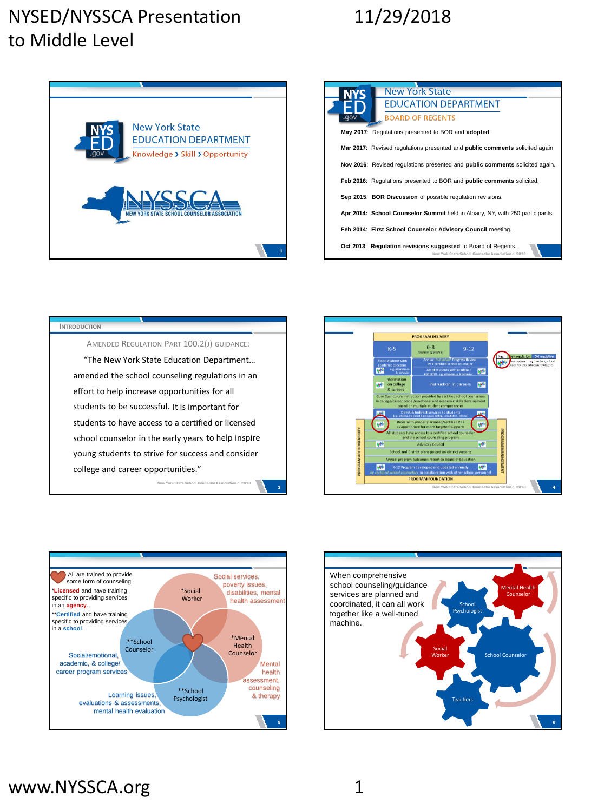### NYSED/NYSSCA Presentation to Middle Level

# 11/29/2018



| <b>New York State</b><br><b>NYS</b>                                                                                  |
|----------------------------------------------------------------------------------------------------------------------|
| <b>EDUCATION DEPARTMENT</b>                                                                                          |
| vop.<br><b>BOARD OF REGENTS</b>                                                                                      |
| May 2017: Regulations presented to BOR and adopted.                                                                  |
| Mar 2017: Revised requiations presented and <b>public comments</b> solicited again                                   |
| Nov 2016: Revised requlations presented and public comments solicited again.                                         |
| Feb 2016: Requlations presented to BOR and public comments solicited.                                                |
| Sep 2015: BOR Discussion of possible regulation revisions.                                                           |
| Apr 2014: School Counselor Summit held in Albany, NY, with 250 participants.                                         |
| Feb 2014: First School Counselor Advisory Council meeting.                                                           |
| Oct 2013: Regulation revisions suggested to Board of Regents.<br>New York State School Counselor Association c. 2018 |

#### "The New York State Education Department… amended the school counseling regulations in an effort to help increase opportunities for all students to be successful. It is important for AMENDED REGULATION PART 100.2(J) GUIDANCE: **INTRODUCTION** students to have access to a certified or licensed school counselor in the early years to help inspire young students to strive for success and consider

college and career opportunities." New York State





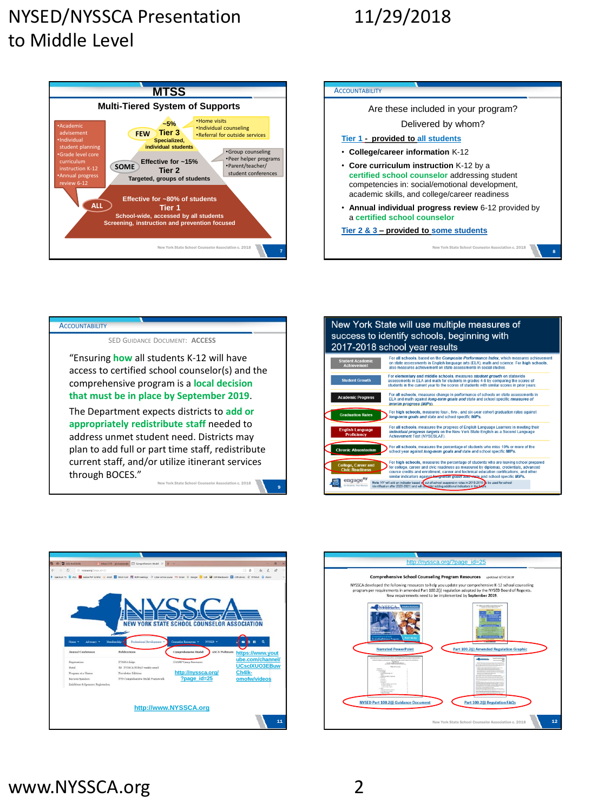### NYSED/NYSSCA Presentation to Middle Level

## 11/29/2018